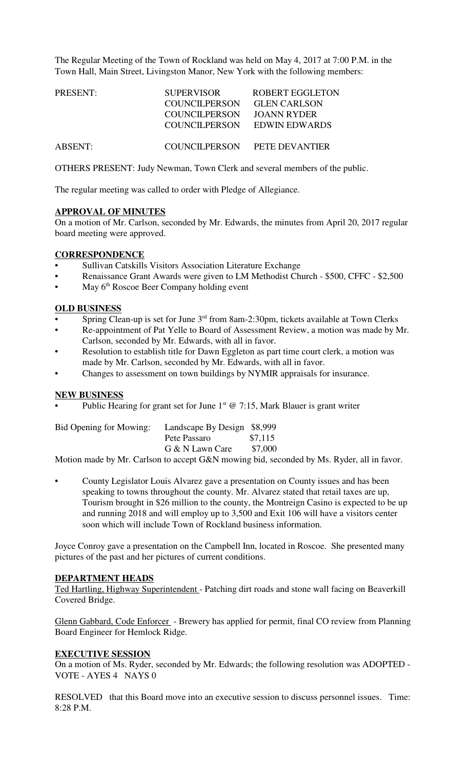The Regular Meeting of the Town of Rockland was held on May 4, 2017 at 7:00 P.M. in the Town Hall, Main Street, Livingston Manor, New York with the following members:

| PRESENT: | <b>SUPERVISOR</b>    | <b>ROBERT EGGLETON</b> |
|----------|----------------------|------------------------|
|          | <b>COUNCILPERSON</b> | <b>GLEN CARLSON</b>    |
|          | <b>COUNCILPERSON</b> | JOANN RYDER            |
|          | COUNCILPERSON        | EDWIN EDWARDS          |
| ABSENT:  | COUNCILPERSON        | <b>PETE DEVANTIER</b>  |

OTHERS PRESENT: Judy Newman, Town Clerk and several members of the public.

The regular meeting was called to order with Pledge of Allegiance.

# **APPROVAL OF MINUTES**

On a motion of Mr. Carlson, seconded by Mr. Edwards, the minutes from April 20, 2017 regular board meeting were approved.

# **CORRESPONDENCE**

- Sullivan Catskills Visitors Association Literature Exchange
- Renaissance Grant Awards were given to LM Methodist Church \$500, CFFC \$2,500
- May 6<sup>th</sup> Roscoe Beer Company holding event

## **OLD BUSINESS**

- Spring Clean-up is set for June 3<sup>rd</sup> from 8am-2:30pm, tickets available at Town Clerks
- Re-appointment of Pat Yelle to Board of Assessment Review, a motion was made by Mr. Carlson, seconded by Mr. Edwards, with all in favor.
- Resolution to establish title for Dawn Eggleton as part time court clerk, a motion was made by Mr. Carlson, seconded by Mr. Edwards, with all in favor.
- Changes to assessment on town buildings by NYMIR appraisals for insurance.

# **NEW BUSINESS**

Public Hearing for grant set for June  $1<sup>st</sup>$  @ 7:15, Mark Blauer is grant writer

| Bid Opening for Mowing: | Landscape By Design \$8,999 |         |
|-------------------------|-----------------------------|---------|
|                         | Pete Passaro                | \$7,115 |
|                         | G & N Lawn Care             | \$7,000 |
|                         |                             |         |

Motion made by Mr. Carlson to accept G&N mowing bid, seconded by Ms. Ryder, all in favor.

• County Legislator Louis Alvarez gave a presentation on County issues and has been speaking to towns throughout the county. Mr. Alvarez stated that retail taxes are up, Tourism brought in \$26 million to the county, the Montreign Casino is expected to be up and running 2018 and will employ up to 3,500 and Exit 106 will have a visitors center soon which will include Town of Rockland business information.

Joyce Conroy gave a presentation on the Campbell Inn, located in Roscoe. She presented many pictures of the past and her pictures of current conditions.

#### **DEPARTMENT HEADS**

Ted Hartling, Highway Superintendent - Patching dirt roads and stone wall facing on Beaverkill Covered Bridge.

Glenn Gabbard, Code Enforcer - Brewery has applied for permit, final CO review from Planning Board Engineer for Hemlock Ridge.

#### **EXECUTIVE SESSION**

On a motion of Ms. Ryder, seconded by Mr. Edwards; the following resolution was ADOPTED - VOTE - AYES 4 NAYS 0

RESOLVED that this Board move into an executive session to discuss personnel issues. Time: 8:28 P.M.